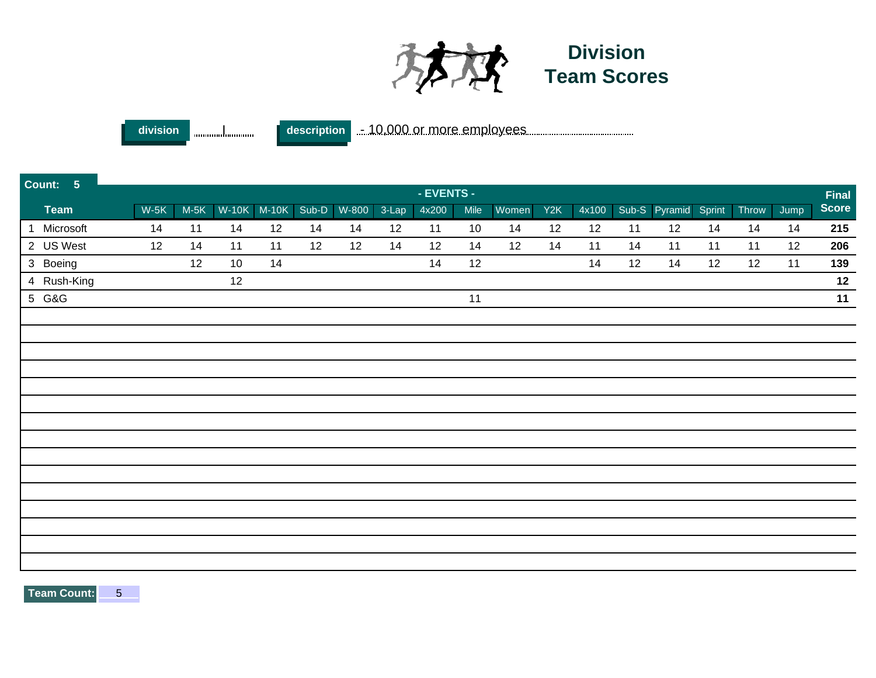

division **I we also description** 10,000 or more employees

| Count:<br>$\sqrt{5}$ |        |        |    |             |    |                   |    |            |      |       |     |       |    |                      |    |       |      |              |
|----------------------|--------|--------|----|-------------|----|-------------------|----|------------|------|-------|-----|-------|----|----------------------|----|-------|------|--------------|
|                      |        |        |    |             |    |                   |    | - EVENTS - |      |       |     |       |    |                      |    |       |      | <b>Final</b> |
| <b>Team</b>          | $W-5K$ | $M-5K$ |    | W-10K M-10K |    | Sub-D W-800 3-Lap |    | 4x200      | Mile | Women | YZK | 4x100 |    | Sub-S Pyramid Sprint |    | Throw | Jump | <b>Score</b> |
| 1 Microsoft          | 14     | 11     | 14 | 12          | 14 | 14                | 12 | 11         | 10   | 14    | 12  | 12    | 11 | 12                   | 14 | 14    | 14   | 215          |
| 2 US West            | 12     | 14     | 11 | 11          | 12 | 12                | 14 | 12         | 14   | 12    | 14  | 11    | 14 | 11                   | 11 | 11    | 12   | 206          |
| 3 Boeing             |        | 12     | 10 | 14          |    |                   |    | 14         | 12   |       |     | 14    | 12 | 14                   | 12 | 12    | 11   | 139          |
| 4 Rush-King          |        |        | 12 |             |    |                   |    |            |      |       |     |       |    |                      |    |       |      | $12$         |
| 5 G&G                |        |        |    |             |    |                   |    |            | 11   |       |     |       |    |                      |    |       |      | $11$         |
|                      |        |        |    |             |    |                   |    |            |      |       |     |       |    |                      |    |       |      |              |
|                      |        |        |    |             |    |                   |    |            |      |       |     |       |    |                      |    |       |      |              |
|                      |        |        |    |             |    |                   |    |            |      |       |     |       |    |                      |    |       |      |              |
|                      |        |        |    |             |    |                   |    |            |      |       |     |       |    |                      |    |       |      |              |
|                      |        |        |    |             |    |                   |    |            |      |       |     |       |    |                      |    |       |      |              |
|                      |        |        |    |             |    |                   |    |            |      |       |     |       |    |                      |    |       |      |              |
|                      |        |        |    |             |    |                   |    |            |      |       |     |       |    |                      |    |       |      |              |
|                      |        |        |    |             |    |                   |    |            |      |       |     |       |    |                      |    |       |      |              |
|                      |        |        |    |             |    |                   |    |            |      |       |     |       |    |                      |    |       |      |              |
|                      |        |        |    |             |    |                   |    |            |      |       |     |       |    |                      |    |       |      |              |
|                      |        |        |    |             |    |                   |    |            |      |       |     |       |    |                      |    |       |      |              |
|                      |        |        |    |             |    |                   |    |            |      |       |     |       |    |                      |    |       |      |              |
|                      |        |        |    |             |    |                   |    |            |      |       |     |       |    |                      |    |       |      |              |
|                      |        |        |    |             |    |                   |    |            |      |       |     |       |    |                      |    |       |      |              |
|                      |        |        |    |             |    |                   |    |            |      |       |     |       |    |                      |    |       |      |              |
|                      |        |        |    |             |    |                   |    |            |      |       |     |       |    |                      |    |       |      |              |

**Team Count:** 5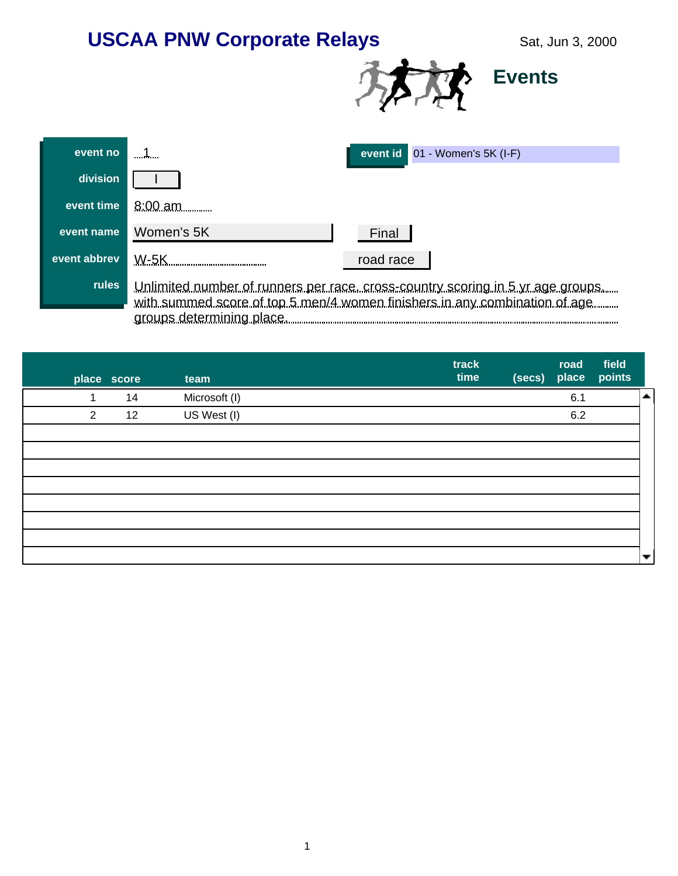

| event no     |                                                                                                                                                                                           | event id 01 - Women's 5K (I-F) |  |  |  |  |  |
|--------------|-------------------------------------------------------------------------------------------------------------------------------------------------------------------------------------------|--------------------------------|--|--|--|--|--|
| division     |                                                                                                                                                                                           |                                |  |  |  |  |  |
| event time   | $8:00$ am                                                                                                                                                                                 |                                |  |  |  |  |  |
| event name   | Women's 5K                                                                                                                                                                                | Final                          |  |  |  |  |  |
| event abbrev | $W-5K$                                                                                                                                                                                    | road race                      |  |  |  |  |  |
| <b>rules</b> | Unlimited number of runners per race, cross-country scoring in 5 yr age groups<br>with summed score of top 5 men/4 women finishers in any combination of age<br>groups determining place. |                                |  |  |  |  |  |

|   | place score | team          | track<br>time | (secs) | road<br>place | field<br>points |                          |
|---|-------------|---------------|---------------|--------|---------------|-----------------|--------------------------|
| ٠ | 14          | Microsoft (I) |               |        | 6.1           |                 | $\blacktriangle$         |
| 2 | 12          | US West (I)   |               |        | 6.2           |                 |                          |
|   |             |               |               |        |               |                 |                          |
|   |             |               |               |        |               |                 |                          |
|   |             |               |               |        |               |                 |                          |
|   |             |               |               |        |               |                 |                          |
|   |             |               |               |        |               |                 |                          |
|   |             |               |               |        |               |                 |                          |
|   |             |               |               |        |               |                 |                          |
|   |             |               |               |        |               |                 | $\overline{\phantom{a}}$ |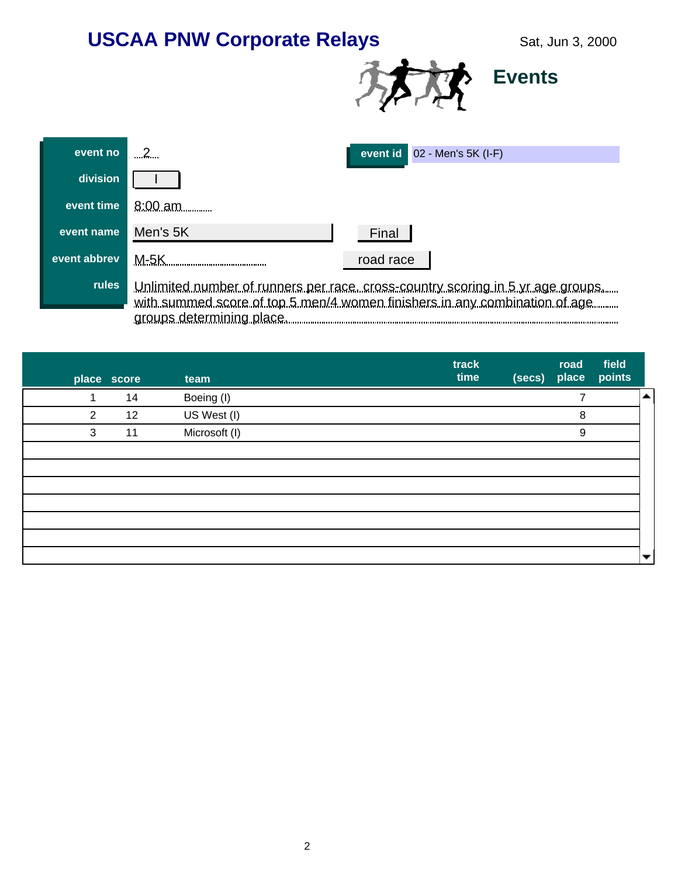

| event no     | 2                         | event id 02 - Men's 5K (I-F)                                                                                                                                 |
|--------------|---------------------------|--------------------------------------------------------------------------------------------------------------------------------------------------------------|
| division     |                           |                                                                                                                                                              |
| event time   | $8:00 \text{ am}$         |                                                                                                                                                              |
| event name   | Men's 5K                  | Final                                                                                                                                                        |
| event abbrev | $M-5K$                    | road race                                                                                                                                                    |
| <b>rules</b> | groups determining place. | Unlimited number of runners per race, cross-country scoring in 5 yr age groups<br>with summed score of top 5 men/4 women finishers in any combination of age |

|                | place score | team          | track<br>time | (secs) | road<br>place | field<br>points |                          |
|----------------|-------------|---------------|---------------|--------|---------------|-----------------|--------------------------|
|                | 14          | Boeing (I)    |               |        | 7             |                 | <b>A</b>                 |
| $\overline{2}$ | 12          | US West (I)   |               |        | 8             |                 |                          |
| 3              | 11          | Microsoft (I) |               |        | 9             |                 |                          |
|                |             |               |               |        |               |                 |                          |
|                |             |               |               |        |               |                 |                          |
|                |             |               |               |        |               |                 |                          |
|                |             |               |               |        |               |                 |                          |
|                |             |               |               |        |               |                 |                          |
|                |             |               |               |        |               |                 |                          |
|                |             |               |               |        |               |                 | $\overline{\phantom{a}}$ |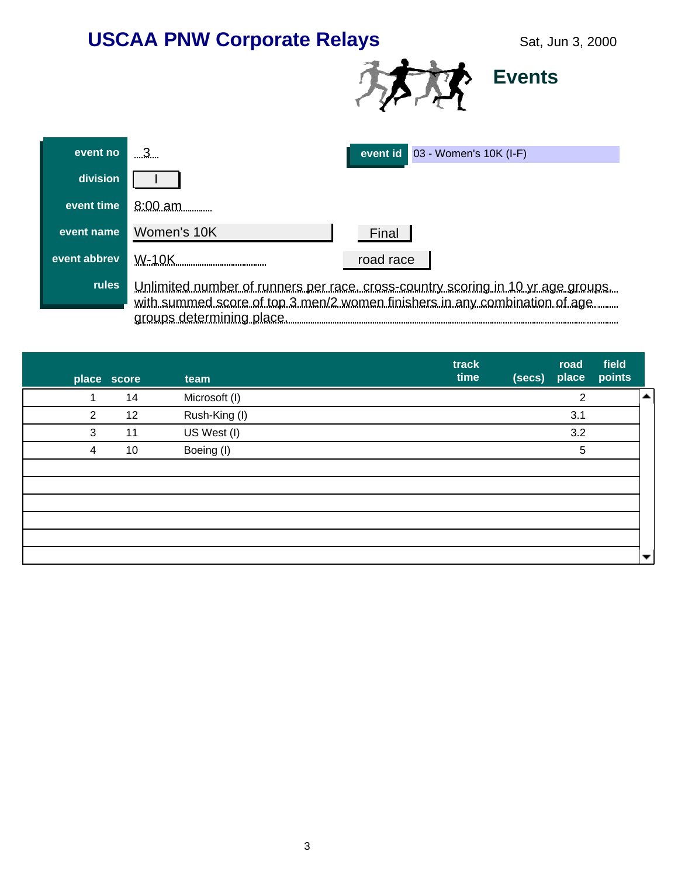

| event no     | 3                                                                                                                                                                                           | 03 - Women's 10K (I-F)<br>event id |  |  |  |  |
|--------------|---------------------------------------------------------------------------------------------------------------------------------------------------------------------------------------------|------------------------------------|--|--|--|--|
| division     |                                                                                                                                                                                             |                                    |  |  |  |  |
| event time   | $8:00$ am                                                                                                                                                                                   |                                    |  |  |  |  |
| event name   | Women's 10K                                                                                                                                                                                 | Final                              |  |  |  |  |
| event abbrev | $W-10K$                                                                                                                                                                                     | road race                          |  |  |  |  |
| <b>rules</b> | Unlimited number of runners per race, cross-country scoring in 10 yr age groups.<br>with summed score of top 3 men/2 women finishers in any combination of age<br>groups determining place. |                                    |  |  |  |  |

|                | place score | team          | track<br>time | (secs) | road<br>place  | field<br>points |                          |
|----------------|-------------|---------------|---------------|--------|----------------|-----------------|--------------------------|
| 1              | 14          | Microsoft (I) |               |        | $\overline{2}$ |                 | $\blacktriangle$         |
| $\overline{2}$ | 12          | Rush-King (I) |               |        | 3.1            |                 |                          |
| 3              | 11          | US West (I)   |               |        | 3.2            |                 |                          |
| 4              | 10          | Boeing (I)    |               |        | $\overline{5}$ |                 |                          |
|                |             |               |               |        |                |                 |                          |
|                |             |               |               |        |                |                 |                          |
|                |             |               |               |        |                |                 |                          |
|                |             |               |               |        |                |                 |                          |
|                |             |               |               |        |                |                 |                          |
|                |             |               |               |        |                |                 | $\overline{\phantom{a}}$ |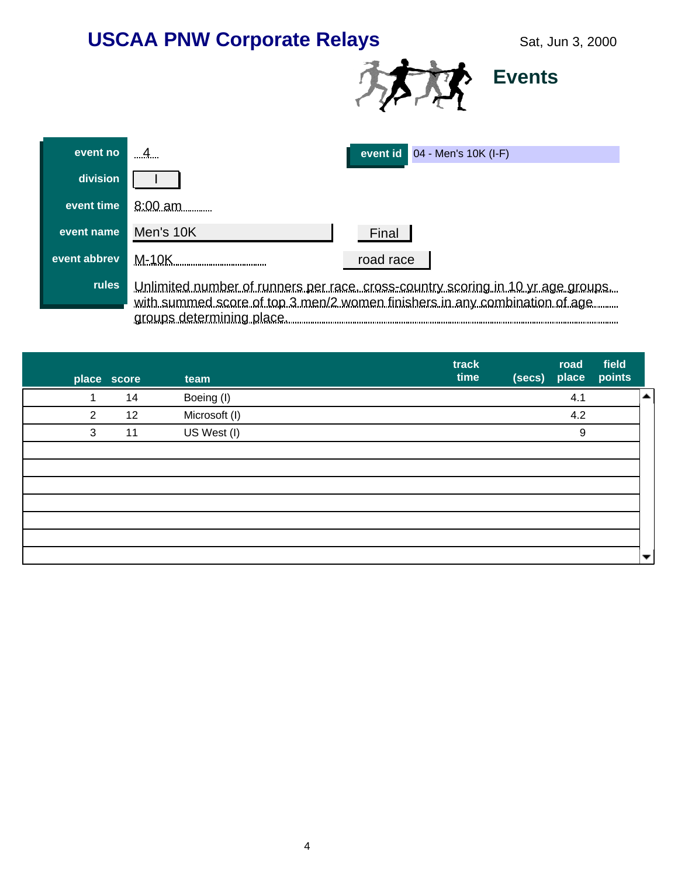

| event no     |                           | event $id$ 04 - Men's 10K (I-F)                                                                                                                                |
|--------------|---------------------------|----------------------------------------------------------------------------------------------------------------------------------------------------------------|
| division     |                           |                                                                                                                                                                |
| event time   | $8:00$ am                 |                                                                                                                                                                |
| event name   | Men's 10K                 | Final                                                                                                                                                          |
| event abbrev | $M-10K$                   | road race                                                                                                                                                      |
| <b>rules</b> | groups determining place. | Unlimited number of runners per race, cross-country scoring in 10 yr age groups,<br>with summed score of top 3 men/2 women finishers in any combination of age |

|                | place score | team          | track<br>time | (secs) | road<br>place | field<br>points |                          |
|----------------|-------------|---------------|---------------|--------|---------------|-----------------|--------------------------|
| ۸              | 14          | Boeing (I)    |               |        | 4.1           |                 | $\blacktriangle$         |
| $\overline{2}$ | 12          | Microsoft (I) |               |        | 4.2           |                 |                          |
| $\sqrt{3}$     | 11          | US West (I)   |               |        | 9             |                 |                          |
|                |             |               |               |        |               |                 |                          |
|                |             |               |               |        |               |                 |                          |
|                |             |               |               |        |               |                 |                          |
|                |             |               |               |        |               |                 |                          |
|                |             |               |               |        |               |                 |                          |
|                |             |               |               |        |               |                 |                          |
|                |             |               |               |        |               |                 | $\overline{\phantom{a}}$ |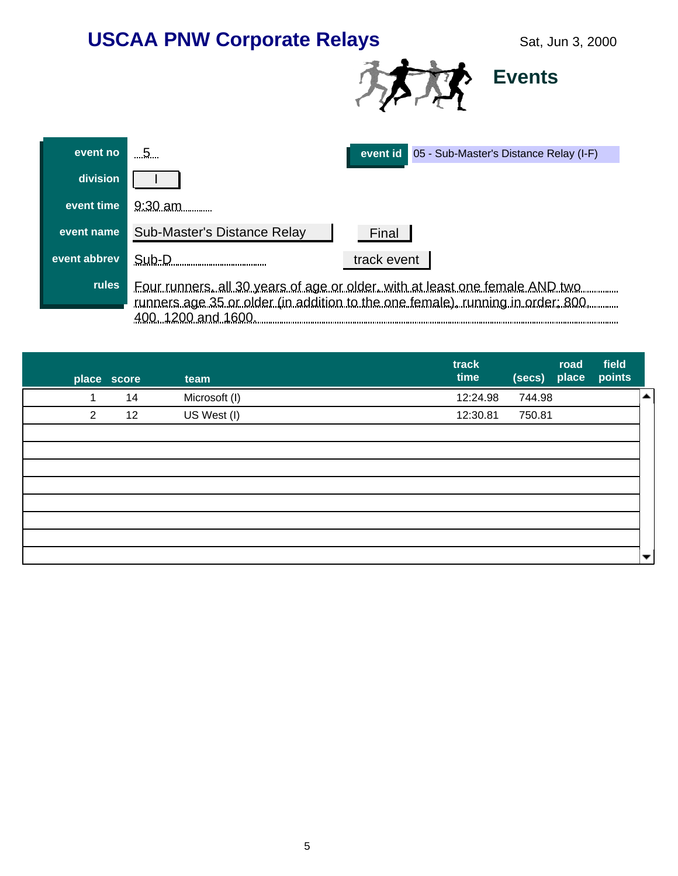

| event no     | event id 05 - Sub-Master's Distance Relay (I-F)                                                                                                                                       |  |  |  |  |  |  |
|--------------|---------------------------------------------------------------------------------------------------------------------------------------------------------------------------------------|--|--|--|--|--|--|
| division     |                                                                                                                                                                                       |  |  |  |  |  |  |
| event time   | $9:30$ am                                                                                                                                                                             |  |  |  |  |  |  |
| event name   | Sub-Master's Distance Relay<br>Final                                                                                                                                                  |  |  |  |  |  |  |
| event abbrev | track event<br>Sub-D                                                                                                                                                                  |  |  |  |  |  |  |
| <b>rules</b> | Four runners, all 30 years of age or older, with at least one female AND two<br>runners age 35 or older (in addition to the one female), running in order: 800,<br>400. 1200 and 1600 |  |  |  |  |  |  |

|                | place score | team          | track<br>time | (secs) | road<br>place | field<br>points |                          |
|----------------|-------------|---------------|---------------|--------|---------------|-----------------|--------------------------|
| ٠              | 14          | Microsoft (I) | 12:24.98      | 744.98 |               |                 | $\blacktriangle$         |
| $\overline{2}$ | 12          | US West (I)   | 12:30.81      | 750.81 |               |                 |                          |
|                |             |               |               |        |               |                 |                          |
|                |             |               |               |        |               |                 |                          |
|                |             |               |               |        |               |                 |                          |
|                |             |               |               |        |               |                 |                          |
|                |             |               |               |        |               |                 |                          |
|                |             |               |               |        |               |                 |                          |
|                |             |               |               |        |               |                 |                          |
|                |             |               |               |        |               |                 | $\overline{\phantom{a}}$ |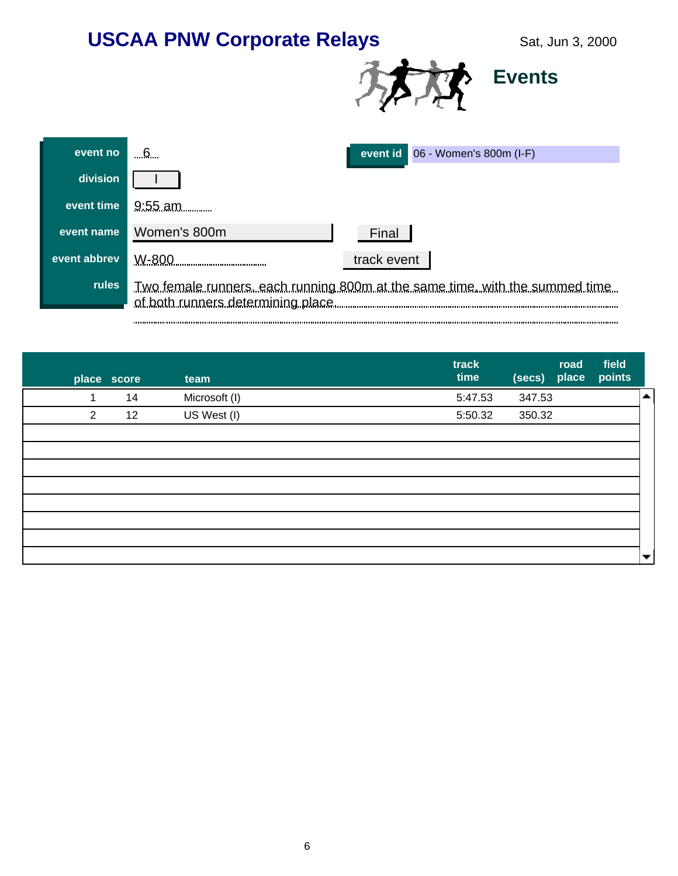

| event no     | 6                                  | event id 06 - Women's 800m (I-F)                                             |
|--------------|------------------------------------|------------------------------------------------------------------------------|
| division     |                                    |                                                                              |
| event time   | 9:55 am                            |                                                                              |
| event name   | Women's 800m                       | Final                                                                        |
| event abbrev | W-800                              | track event                                                                  |
| <b>rules</b> | of both runners determining place. | Two female runners, each running 800m at the same time, with the summed time |

|                | place score | team          | track<br>time | (secs) | road<br>place | field<br>points |                          |
|----------------|-------------|---------------|---------------|--------|---------------|-----------------|--------------------------|
| 4              | 14          | Microsoft (I) | 5:47.53       | 347.53 |               |                 | $\blacktriangle$         |
| $\overline{2}$ | 12          | US West (I)   | 5:50.32       | 350.32 |               |                 |                          |
|                |             |               |               |        |               |                 |                          |
|                |             |               |               |        |               |                 |                          |
|                |             |               |               |        |               |                 |                          |
|                |             |               |               |        |               |                 |                          |
|                |             |               |               |        |               |                 |                          |
|                |             |               |               |        |               |                 |                          |
|                |             |               |               |        |               |                 |                          |
|                |             |               |               |        |               |                 | $\overline{\phantom{a}}$ |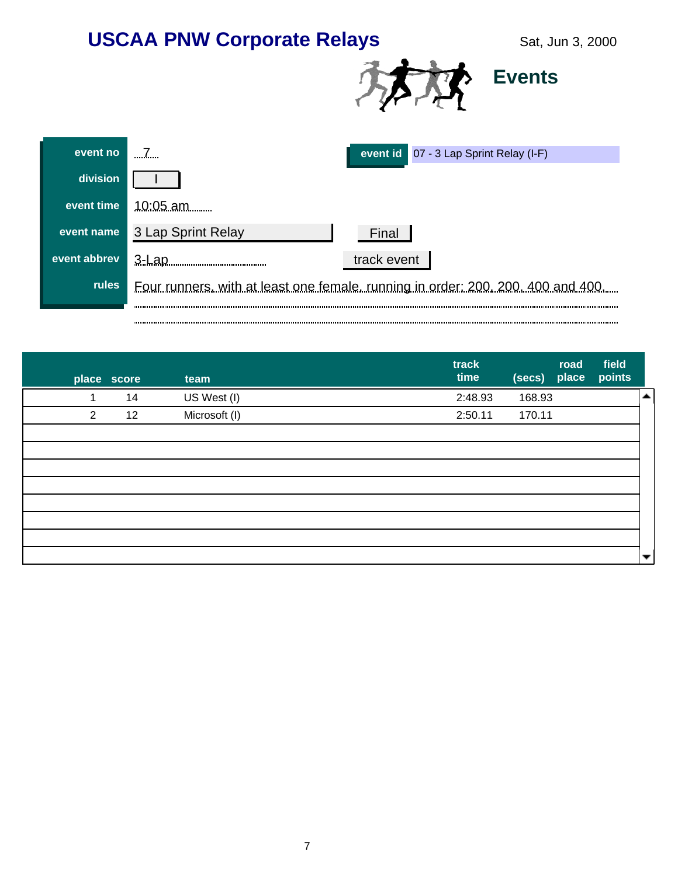

| event no     |              | event id 07 - 3 Lap Sprint Relay (I-F)<br>.                                      |
|--------------|--------------|----------------------------------------------------------------------------------|
|              | division     |                                                                                  |
| event time   |              | 10:05 am                                                                         |
| event name   |              | 3 Lap Sprint Relay<br>Final                                                      |
| event abbrev |              | track event<br>3-Lap                                                             |
|              | <b>rules</b> | Four runners, with at least one female, running in order; 200, 200, 400 and 400. |
|              |              |                                                                                  |

|                | place score | team          | track<br>time | (secs) | road<br>place | field<br>points |                          |
|----------------|-------------|---------------|---------------|--------|---------------|-----------------|--------------------------|
| 1              | 14          | US West (I)   | 2:48.93       | 168.93 |               |                 | $\blacktriangle$         |
| $\overline{2}$ | 12          | Microsoft (I) | 2:50.11       | 170.11 |               |                 |                          |
|                |             |               |               |        |               |                 |                          |
|                |             |               |               |        |               |                 |                          |
|                |             |               |               |        |               |                 |                          |
|                |             |               |               |        |               |                 |                          |
|                |             |               |               |        |               |                 |                          |
|                |             |               |               |        |               |                 |                          |
|                |             |               |               |        |               |                 |                          |
|                |             |               |               |        |               |                 | $\overline{\phantom{a}}$ |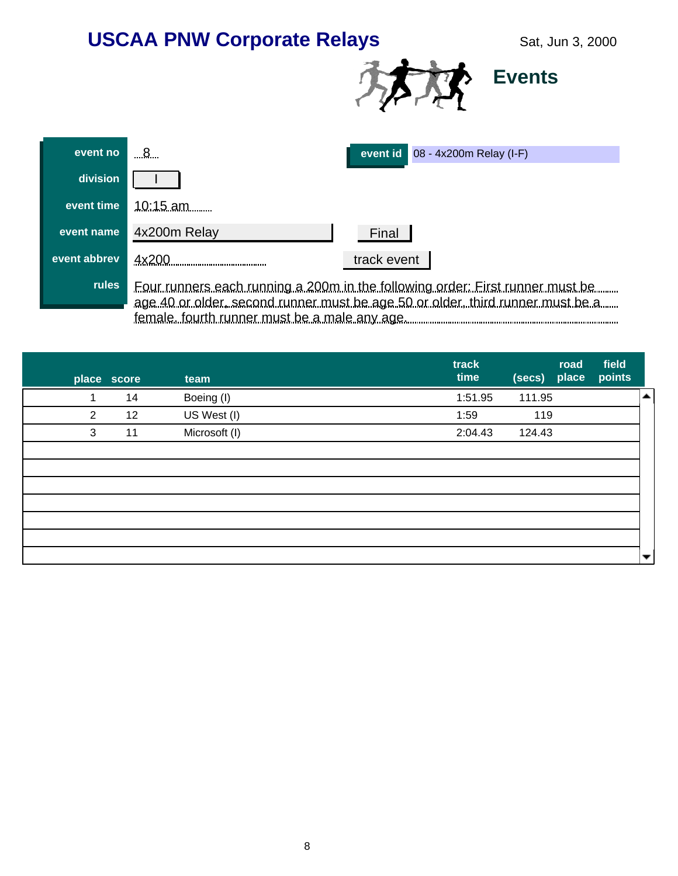

| event no     | 8                                                                                                                                                               | event $id$ 08 - 4x200m Relay (I-F) |  |  |  |  |
|--------------|-----------------------------------------------------------------------------------------------------------------------------------------------------------------|------------------------------------|--|--|--|--|
| division     |                                                                                                                                                                 |                                    |  |  |  |  |
| event time   | $10:15$ am                                                                                                                                                      |                                    |  |  |  |  |
| event name   | 4x200m Relay                                                                                                                                                    | Final                              |  |  |  |  |
| event abbrev | 4x200                                                                                                                                                           | track event                        |  |  |  |  |
| <b>rules</b> | Four runners each running a 200m in the following order: First runner must be<br>age 40 or older, second runner must be age 50 or older, third runner must be a |                                    |  |  |  |  |

|                | place score | team          | track<br>time |         | (secs) | road<br>place | field<br>points |                          |
|----------------|-------------|---------------|---------------|---------|--------|---------------|-----------------|--------------------------|
| 1              | 14          | Boeing (I)    |               | 1:51.95 | 111.95 |               |                 | $\Delta$                 |
| $\overline{2}$ | 12          | US West (I)   | 1:59          |         | 119    |               |                 |                          |
| 3              | 11          | Microsoft (I) |               | 2:04.43 | 124.43 |               |                 |                          |
|                |             |               |               |         |        |               |                 |                          |
|                |             |               |               |         |        |               |                 |                          |
|                |             |               |               |         |        |               |                 |                          |
|                |             |               |               |         |        |               |                 |                          |
|                |             |               |               |         |        |               |                 |                          |
|                |             |               |               |         |        |               |                 |                          |
|                |             |               |               |         |        |               |                 | $\overline{\phantom{a}}$ |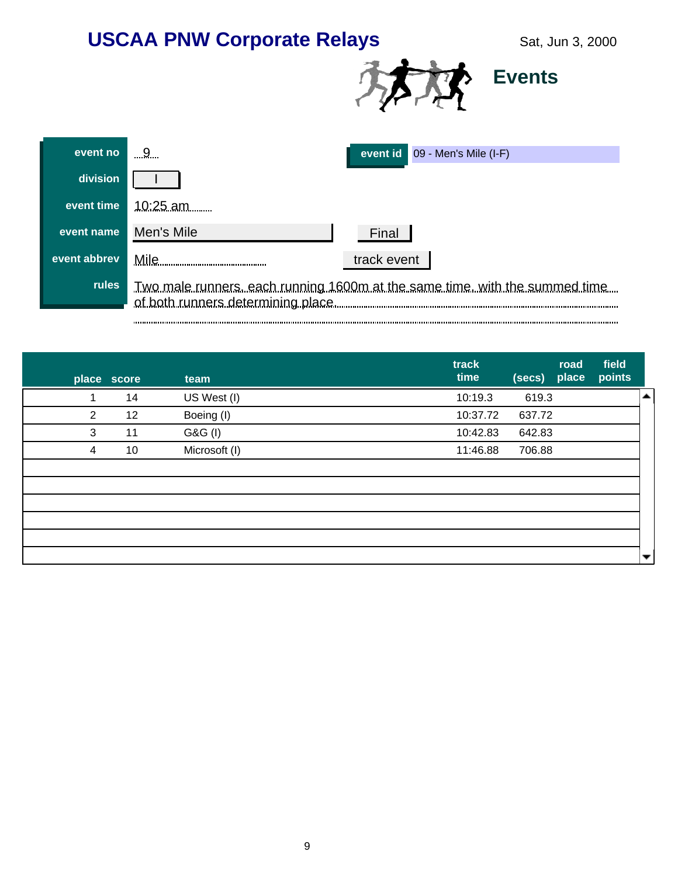

| event no     | 9                                                                                                                 | event id 09 - Men's Mile (I-F) |  |
|--------------|-------------------------------------------------------------------------------------------------------------------|--------------------------------|--|
| division     |                                                                                                                   |                                |  |
| event time   | 10:25 am                                                                                                          |                                |  |
| event name   | Men's Mile                                                                                                        | Final                          |  |
| event abbrev | Mile                                                                                                              | track event                    |  |
| <b>rules</b> | Two male runners, each running 1600m at the same time, with the summed time<br>of both runners determining place. |                                |  |

|                | place score | team          | track<br>time | (secs) | road<br>place | field<br>points |                          |
|----------------|-------------|---------------|---------------|--------|---------------|-----------------|--------------------------|
| 1              | 14          | US West (I)   | 10:19.3       | 619.3  |               |                 | -                        |
| $\overline{2}$ | 12          | Boeing (I)    | 10:37.72      | 637.72 |               |                 |                          |
| 3              | 11          | G&G (I)       | 10:42.83      | 642.83 |               |                 |                          |
| 4              | 10          | Microsoft (I) | 11:46.88      | 706.88 |               |                 |                          |
|                |             |               |               |        |               |                 |                          |
|                |             |               |               |        |               |                 |                          |
|                |             |               |               |        |               |                 |                          |
|                |             |               |               |        |               |                 |                          |
|                |             |               |               |        |               |                 |                          |
|                |             |               |               |        |               |                 | $\overline{\phantom{a}}$ |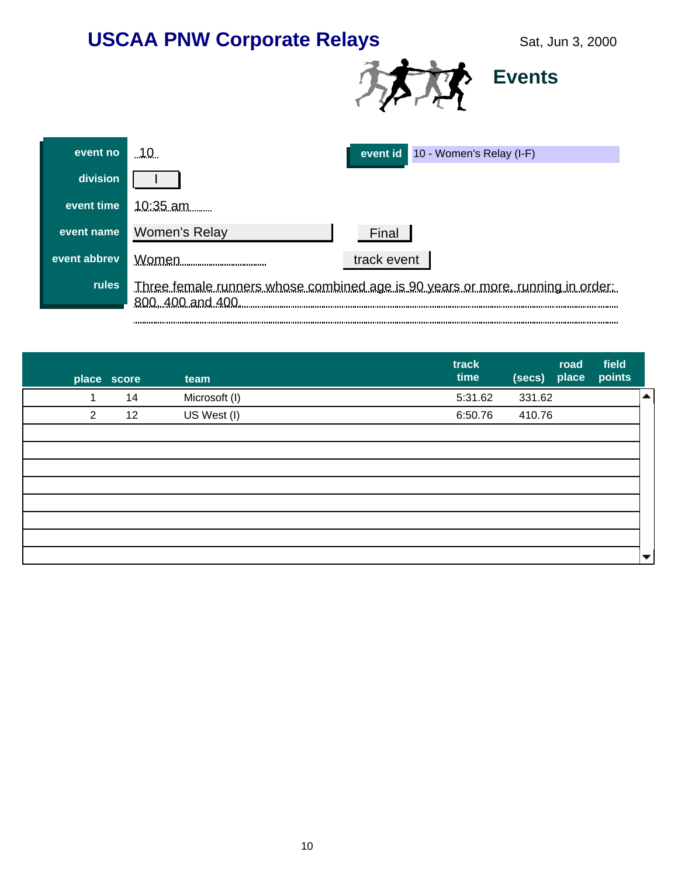

| event no     | $\overline{10}$<br>event id 10 - Women's Relay (I-F)                                                |  |  |  |  |
|--------------|-----------------------------------------------------------------------------------------------------|--|--|--|--|
| division     |                                                                                                     |  |  |  |  |
| event time   | $10:35$ am                                                                                          |  |  |  |  |
| event name   | Women's Relay<br>Final                                                                              |  |  |  |  |
| event abbrev | track event<br>Women                                                                                |  |  |  |  |
| <b>rules</b> | Three female runners whose combined age is 90 years or more, running in order;<br>800, 400 and 400. |  |  |  |  |

|   | place score | team          | track<br>time | road<br>place<br>(secs) | field<br>points          |  |
|---|-------------|---------------|---------------|-------------------------|--------------------------|--|
| 1 | 14          | Microsoft (I) | 5:31.62       | 331.62                  | $\blacktriangle$         |  |
| 2 | 12          | US West (I)   | 6:50.76       | 410.76                  |                          |  |
|   |             |               |               |                         |                          |  |
|   |             |               |               |                         |                          |  |
|   |             |               |               |                         |                          |  |
|   |             |               |               |                         |                          |  |
|   |             |               |               |                         |                          |  |
|   |             |               |               |                         |                          |  |
|   |             |               |               |                         |                          |  |
|   |             |               |               |                         | $\overline{\phantom{a}}$ |  |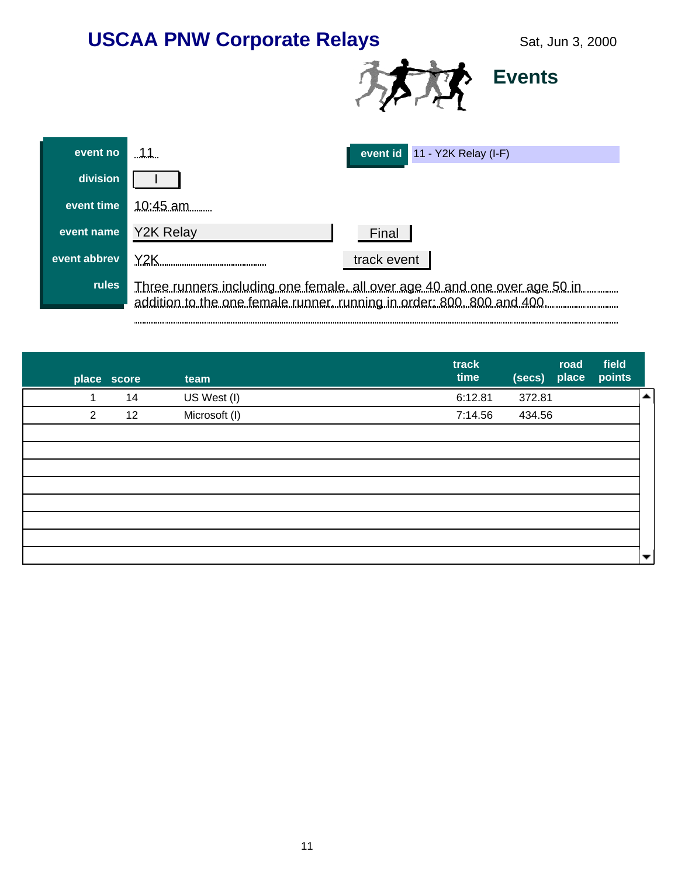

| event no     | .11                                                                                                                                                             | event id 11 - Y2K Relay (I-F) |  |  |  |
|--------------|-----------------------------------------------------------------------------------------------------------------------------------------------------------------|-------------------------------|--|--|--|
| division     |                                                                                                                                                                 |                               |  |  |  |
| event time   | $10:45$ am                                                                                                                                                      |                               |  |  |  |
| event name   | <b>Y2K Relay</b>                                                                                                                                                | Final                         |  |  |  |
| event abbrev | Y <sub>2</sub> K                                                                                                                                                | track event                   |  |  |  |
| <b>rules</b> | Three runners including one female, all over age 40 and one over age 50 in manuscript<br>addition to the one female runner, running in order: 800, 800 and 400. |                               |  |  |  |

|                | place score | team          | track<br>time | (secs) | road<br>place | field<br>points |                          |
|----------------|-------------|---------------|---------------|--------|---------------|-----------------|--------------------------|
|                | 14          | US West (I)   | 6:12.81       | 372.81 |               |                 | -                        |
| $\overline{2}$ | 12          | Microsoft (I) | 7:14.56       | 434.56 |               |                 |                          |
|                |             |               |               |        |               |                 |                          |
|                |             |               |               |        |               |                 |                          |
|                |             |               |               |        |               |                 |                          |
|                |             |               |               |        |               |                 |                          |
|                |             |               |               |        |               |                 |                          |
|                |             |               |               |        |               |                 |                          |
|                |             |               |               |        |               |                 |                          |
|                |             |               |               |        |               |                 | $\overline{\phantom{a}}$ |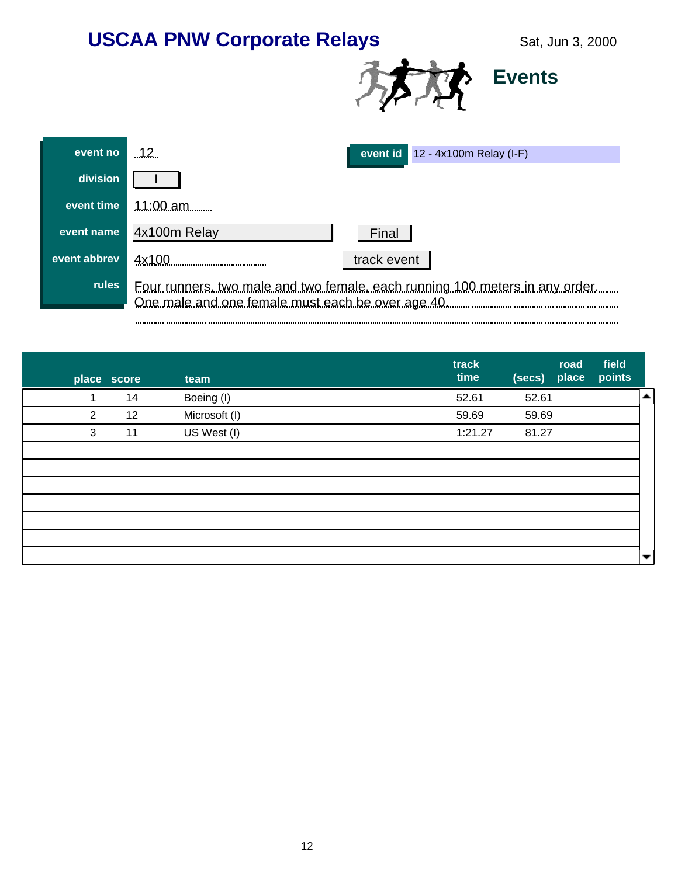

| event no     | .12                                                                                                                              | event $id \mid 12 - 4x100m$ Relay (I-F) |  |  |  |
|--------------|----------------------------------------------------------------------------------------------------------------------------------|-----------------------------------------|--|--|--|
| division     |                                                                                                                                  |                                         |  |  |  |
| event time   | $11:00$ am                                                                                                                       |                                         |  |  |  |
| event name   | 4x100m Relay                                                                                                                     | Final                                   |  |  |  |
| event abbrev | 4x100                                                                                                                            | track event                             |  |  |  |
| <b>rules</b> | Four runners, two male and two female, each running 100 meters in any order<br>One male and one female must each be over age 40. |                                         |  |  |  |

|                | place score | team          | track<br>time | (secs) | road<br>place | field<br>points |                          |
|----------------|-------------|---------------|---------------|--------|---------------|-----------------|--------------------------|
| 1              | 14          | Boeing (I)    | 52.61         | 52.61  |               |                 | ▲                        |
| $\overline{2}$ | 12          | Microsoft (I) | 59.69         | 59.69  |               |                 |                          |
| 3              | 11          | US West (I)   | 1:21.27       | 81.27  |               |                 |                          |
|                |             |               |               |        |               |                 |                          |
|                |             |               |               |        |               |                 |                          |
|                |             |               |               |        |               |                 |                          |
|                |             |               |               |        |               |                 |                          |
|                |             |               |               |        |               |                 |                          |
|                |             |               |               |        |               |                 |                          |
|                |             |               |               |        |               |                 | $\overline{\phantom{a}}$ |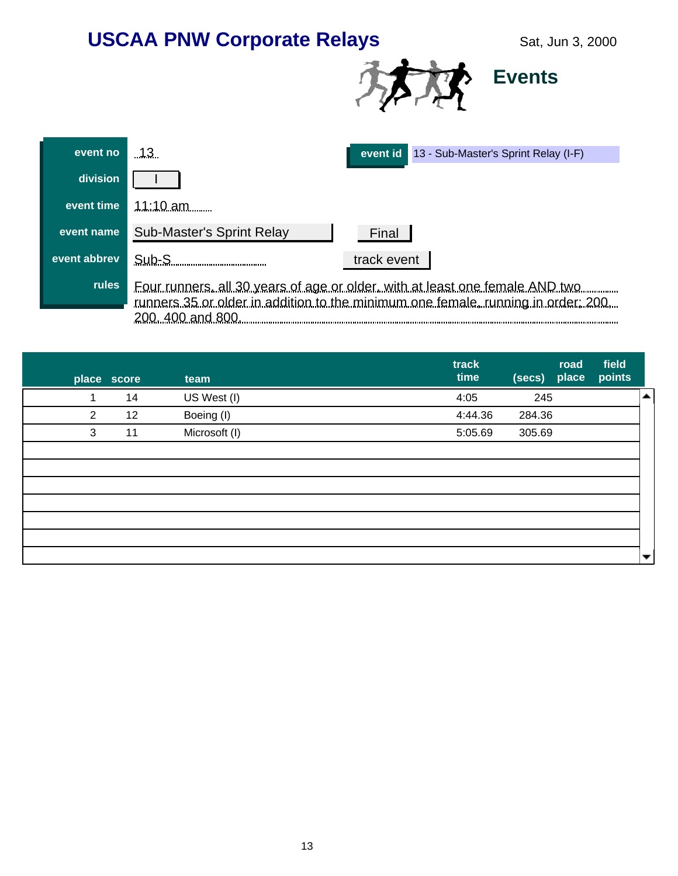

| event no     | 13.<br>event id 13 - Sub-Master's Sprint Relay (I-F)                                                                                                              |
|--------------|-------------------------------------------------------------------------------------------------------------------------------------------------------------------|
| division     |                                                                                                                                                                   |
| event time   | $11:10$ am                                                                                                                                                        |
| event name   | <b>Sub-Master's Sprint Relay</b><br>Final                                                                                                                         |
| event abbrev | Sub-S<br>track event                                                                                                                                              |
| <b>rules</b> | Four runners, all 30 years of age or older, with at least one female AND two<br>runners 35 or older in addition to the minimum one female, running in order: 200, |
|              | 200, 400 and 800.                                                                                                                                                 |

|                | place score | team          | track<br>time | (secs) | road<br>place | field<br>points |                          |
|----------------|-------------|---------------|---------------|--------|---------------|-----------------|--------------------------|
| 1              | 14          | US West (I)   | 4:05          | 245    |               |                 | $\Delta \mathbf{r}$      |
| $\overline{2}$ | 12          | Boeing (I)    | 4:44.36       | 284.36 |               |                 |                          |
| 3              | 11          | Microsoft (I) | 5:05.69       | 305.69 |               |                 |                          |
|                |             |               |               |        |               |                 |                          |
|                |             |               |               |        |               |                 |                          |
|                |             |               |               |        |               |                 |                          |
|                |             |               |               |        |               |                 |                          |
|                |             |               |               |        |               |                 |                          |
|                |             |               |               |        |               |                 |                          |
|                |             |               |               |        |               |                 | $\overline{\phantom{a}}$ |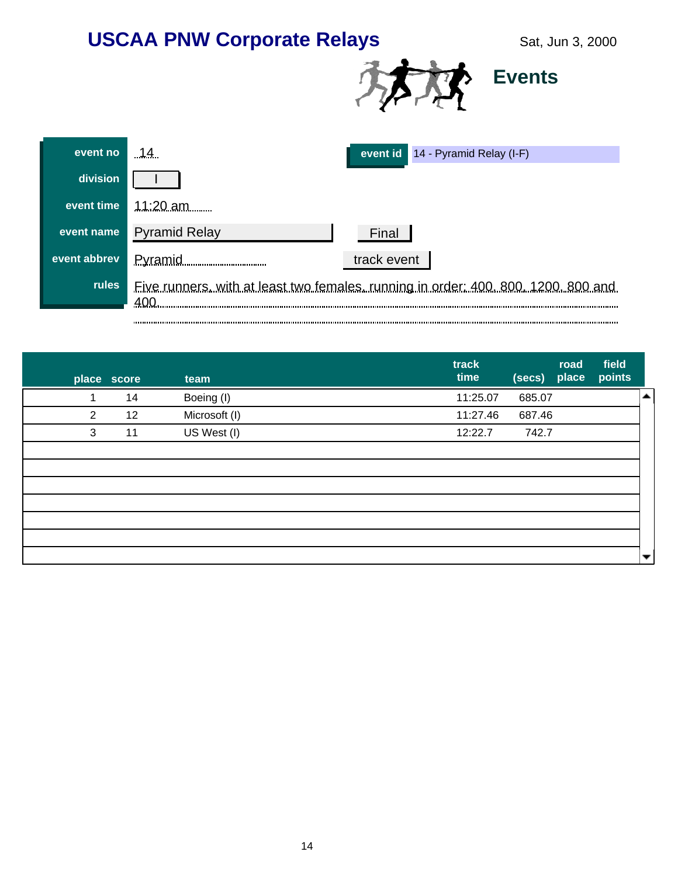

| event no     | event id 14 - Pyramid Relay (I-F)<br>.14.                                                 |
|--------------|-------------------------------------------------------------------------------------------|
| division     |                                                                                           |
| event time   | 11:20 am                                                                                  |
| event name   | <b>Pyramid Relay</b><br>Final                                                             |
| event abbrev | track event                                                                               |
| rules        | Five runners, with at least two females, running in order: 400, 800, 1200, 800 and<br>400 |
|              |                                                                                           |

|   | place score | team          | track<br>time | (secs) | road<br>place | field<br>points |                          |
|---|-------------|---------------|---------------|--------|---------------|-----------------|--------------------------|
| 1 | 14          | Boeing (I)    | 11:25.07      | 685.07 |               |                 | $\blacktriangle$         |
| 2 | 12          | Microsoft (I) | 11:27.46      | 687.46 |               |                 |                          |
| 3 | 11          | US West (I)   | 12:22.7       | 742.7  |               |                 |                          |
|   |             |               |               |        |               |                 |                          |
|   |             |               |               |        |               |                 |                          |
|   |             |               |               |        |               |                 |                          |
|   |             |               |               |        |               |                 |                          |
|   |             |               |               |        |               |                 |                          |
|   |             |               |               |        |               |                 |                          |
|   |             |               |               |        |               |                 | $\overline{\phantom{a}}$ |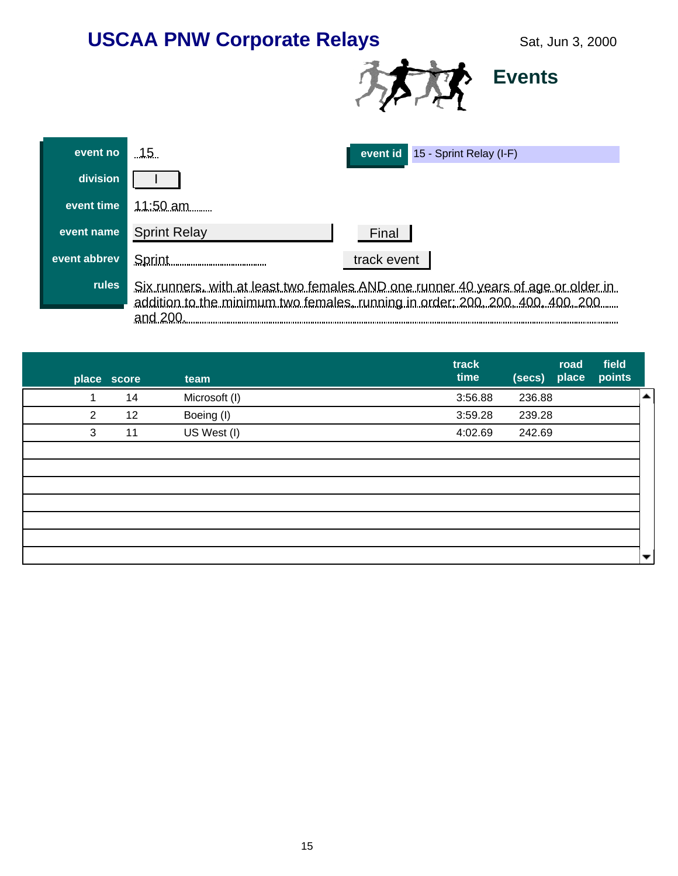

| event no     | 15.<br>event id 15 - Sprint Relay (I-F)                                                                                                                             |
|--------------|---------------------------------------------------------------------------------------------------------------------------------------------------------------------|
| division     |                                                                                                                                                                     |
| event time   | $11:50$ am                                                                                                                                                          |
| event name   | <b>Sprint Relay</b><br>Final                                                                                                                                        |
| event abbrev | track event<br><u>Sprint</u> _________________                                                                                                                      |
| <b>rules</b> | Six runners, with at least two females AND one runner 40 years of age or older in<br>addition to the minimum two females, running in order; 200, 200, 400, 400, 200 |

|                | place score | team          | track<br>time | road<br>place<br>(secs) | field<br>points |                          |
|----------------|-------------|---------------|---------------|-------------------------|-----------------|--------------------------|
| 1              | 14          | Microsoft (I) | 3:56.88       | 236.88                  |                 | $\Delta$                 |
| $\overline{2}$ | 12          | Boeing (I)    | 3:59.28       | 239.28                  |                 |                          |
| 3              | 11          | US West (I)   | 4:02.69       | 242.69                  |                 |                          |
|                |             |               |               |                         |                 |                          |
|                |             |               |               |                         |                 |                          |
|                |             |               |               |                         |                 |                          |
|                |             |               |               |                         |                 |                          |
|                |             |               |               |                         |                 |                          |
|                |             |               |               |                         |                 |                          |
|                |             |               |               |                         |                 | $\overline{\phantom{a}}$ |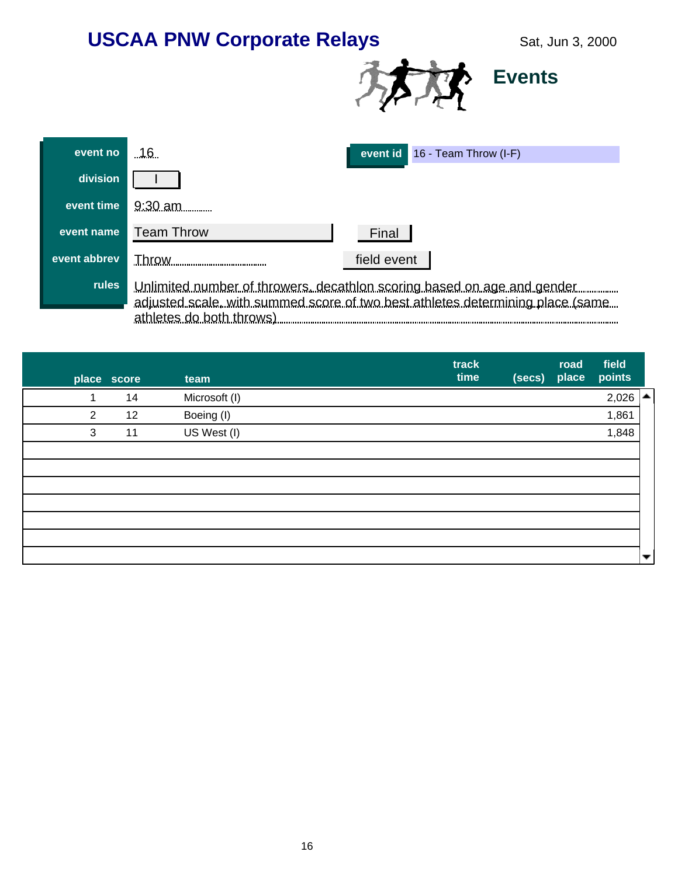

| event no     | .16                      | event id 16 - Team Throw (I-F)                                                                                                                            |
|--------------|--------------------------|-----------------------------------------------------------------------------------------------------------------------------------------------------------|
| division     |                          |                                                                                                                                                           |
| event time   | $9:30$ am                |                                                                                                                                                           |
| event name   | <b>Team Throw</b>        | Final                                                                                                                                                     |
| event abbrev | Throw                    | field event                                                                                                                                               |
| rules        | athletes do both throws) | Unlimited number of throwers, decathlon scoring based on age and gender<br>adjusted scale, with summed score of two best athletes determining place (same |

|                | place score | team          | track<br>time | (secs) | road<br>place | field<br>points               |                          |
|----------------|-------------|---------------|---------------|--------|---------------|-------------------------------|--------------------------|
| 1              | 14          | Microsoft (I) |               |        |               | $2,026$ $\blacktriangleright$ |                          |
| $\overline{2}$ | 12          | Boeing (I)    |               |        |               | 1,861                         |                          |
| 3              | 11          | US West (I)   |               |        |               | 1,848                         |                          |
|                |             |               |               |        |               |                               |                          |
|                |             |               |               |        |               |                               |                          |
|                |             |               |               |        |               |                               |                          |
|                |             |               |               |        |               |                               |                          |
|                |             |               |               |        |               |                               |                          |
|                |             |               |               |        |               |                               |                          |
|                |             |               |               |        |               |                               | $\overline{\phantom{a}}$ |